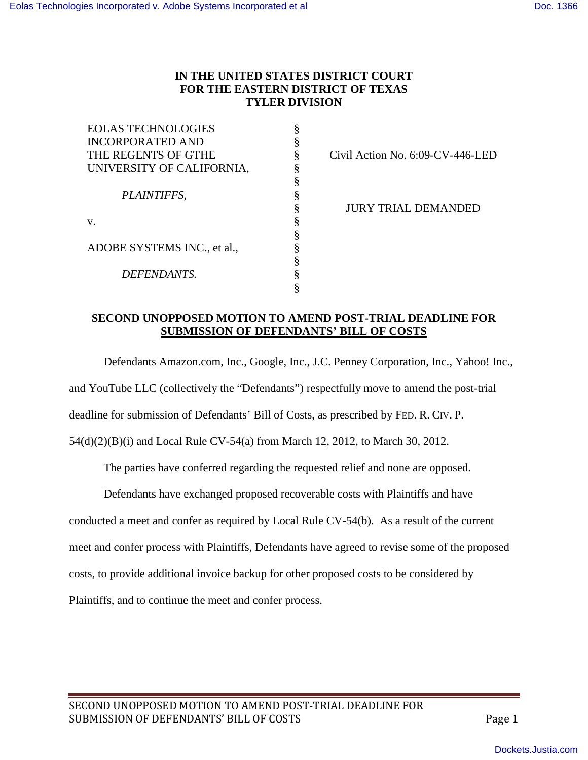# **IN THE UNITED STATES DISTRICT COURT FOR THE EASTERN DISTRICT OF TEXAS TYLER DIVISION**

| <b>EOLAS TECHNOLOGIES</b>   |   |
|-----------------------------|---|
| <b>INCORPORATED AND</b>     | § |
| THE REGENTS OF GTHE         | ş |
| UNIVERSITY OF CALIFORNIA,   | § |
|                             | § |
| PLAINTIFFS,                 | § |
|                             |   |
| v.                          | § |
|                             | § |
| ADOBE SYSTEMS INC., et al., | § |
|                             | § |
| DEFENDANTS.                 | § |
|                             |   |

Civil Action No. 6:09-CV-446-LED

§ JURY TRIAL DEMANDED

#### **SECOND UNOPPOSED MOTION TO AMEND POST-TRIAL DEADLINE FOR SUBMISSION OF DEFENDANTS' BILL OF COSTS**

Defendants Amazon.com, Inc., Google, Inc., J.C. Penney Corporation, Inc., Yahoo! Inc., and YouTube LLC (collectively the "Defendants") respectfully move to amend the post-trial

deadline for submission of Defendants' Bill of Costs, as prescribed by FED. R. CIV. P.

54(d)(2)(B)(i) and Local Rule CV-54(a) from March 12, 2012, to March 30, 2012.

The parties have conferred regarding the requested relief and none are opposed.

Defendants have exchanged proposed recoverable costs with Plaintiffs and have

conducted a meet and confer as required by Local Rule CV-54(b). As a result of the current

meet and confer process with Plaintiffs, Defendants have agreed to revise some of the proposed

costs, to provide additional invoice backup for other proposed costs to be considered by

Plaintiffs, and to continue the meet and confer process.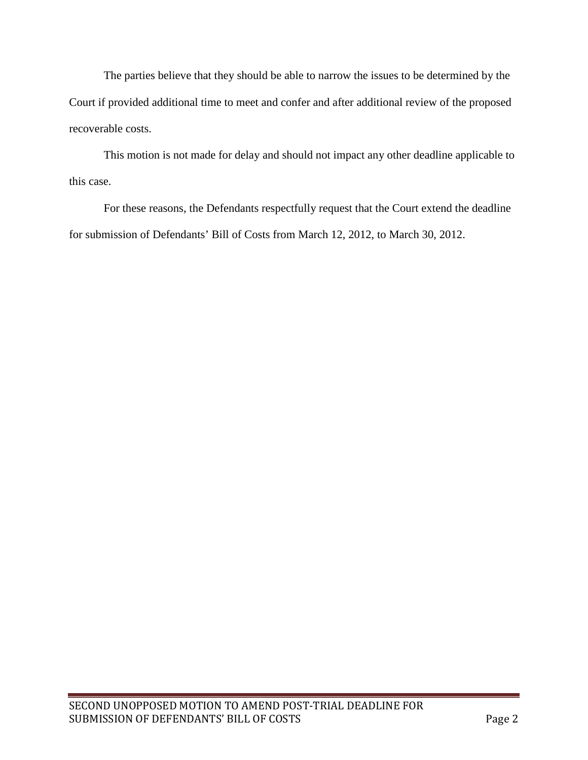The parties believe that they should be able to narrow the issues to be determined by the Court if provided additional time to meet and confer and after additional review of the proposed recoverable costs.

This motion is not made for delay and should not impact any other deadline applicable to this case.

For these reasons, the Defendants respectfully request that the Court extend the deadline for submission of Defendants' Bill of Costs from March 12, 2012, to March 30, 2012.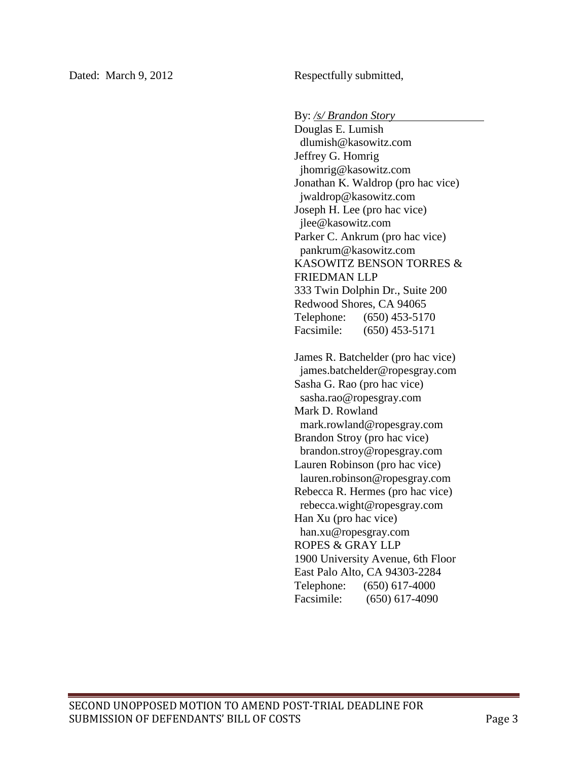Dated: March 9, 2012 Respectfully submitted,

By: */s/ Brandon Story*

Douglas E. Lumish dlumish@kasowitz.com Jeffrey G. Homrig jhomrig@kasowitz.com Jonathan K. Waldrop (pro hac vice) jwaldrop@kasowitz.com Joseph H. Lee (pro hac vice) jlee@kasowitz.com Parker C. Ankrum (pro hac vice) pankrum@kasowitz.com KASOWITZ BENSON TORRES & FRIEDMAN LLP 333 Twin Dolphin Dr., Suite 200 Redwood Shores, CA 94065 Telephone: (650) 453-5170 Facsimile: (650) 453-5171

James R. Batchelder (pro hac vice) james.batchelder@ropesgray.com Sasha G. Rao (pro hac vice) sasha.rao@ropesgray.com Mark D. Rowland mark.rowland@ropesgray.com Brandon Stroy (pro hac vice) brandon.stroy@ropesgray.com Lauren Robinson (pro hac vice) lauren.robinson@ropesgray.com Rebecca R. Hermes (pro hac vice) rebecca.wight@ropesgray.com Han Xu (pro hac vice) han.xu@ropesgray.com ROPES & GRAY LLP 1900 University Avenue, 6th Floor East Palo Alto, CA 94303-2284 Telephone: (650) 617-4000 Facsimile: (650) 617-4090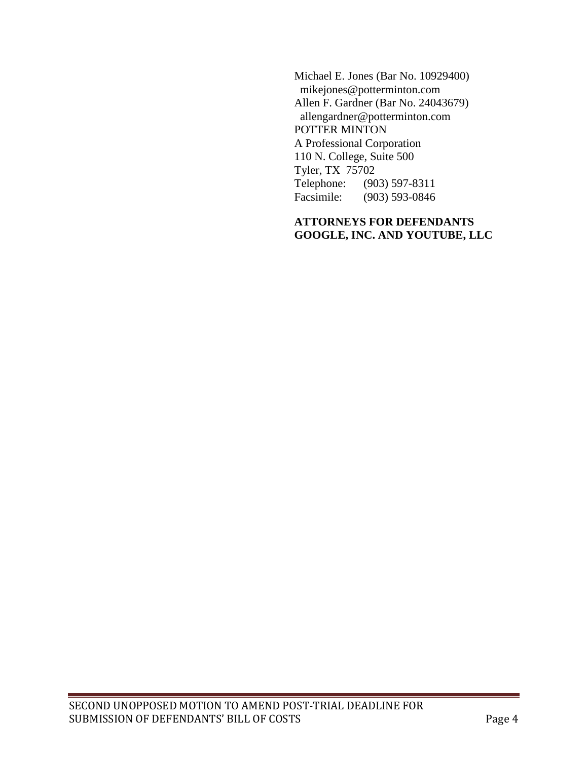Michael E. Jones (Bar No. 10929400) mikejones@potterminton.com Allen F. Gardner (Bar No. 24043679) allengardner@potterminton.com POTTER MINTON A Professional Corporation 110 N. College, Suite 500 Tyler, TX 75702<br>Telephone: (90 (903) 597-8311 Facsimile: (903) 593-0846

## **ATTORNEYS FOR DEFENDANTS GOOGLE, INC. AND YOUTUBE, LLC**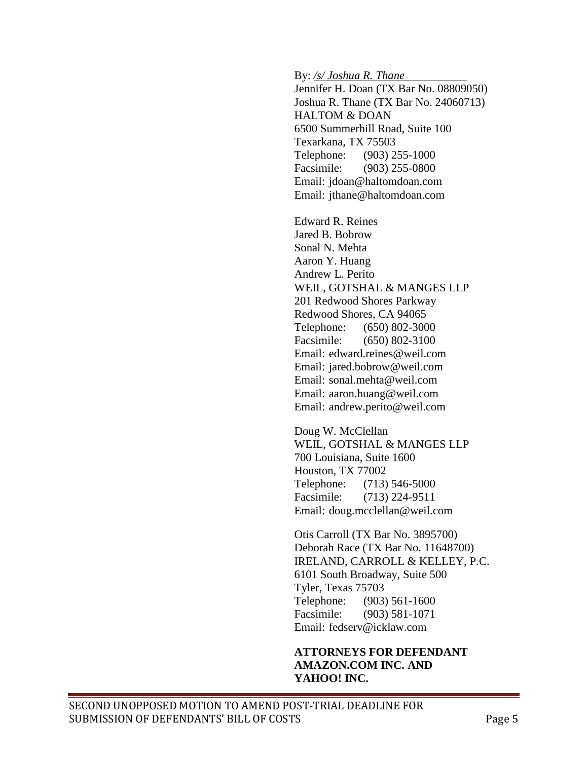By: */s/ Joshua R. Thane*

Jennifer H. Doan (TX Bar No. 08809050) Joshua R. Thane (TX Bar No. 24060713) HALTOM & DOAN 6500 Summerhill Road, Suite 100 Texarkana, TX 75503 Telephone: (903) 255-1000 Facsimile: (903) 255-0800 Email: jdoan@haltomdoan.com Email: jthane@haltomdoan.com

Edward R. Reines Jared B. Bobrow Sonal N. Mehta Aaron Y. Huang Andrew L. Perito WEIL, GOTSHAL & MANGES LLP 201 Redwood Shores Parkway Redwood Shores, CA 94065 Telephone: (650) 802-3000 Facsimile: (650) 802-3100 Email: edward.reines@weil.com Email: jared.bobrow@weil.com Email: sonal.mehta@weil.com Email: aaron.huang@weil.com Email: andrew.perito@weil.com

Doug W. McClellan WEIL, GOTSHAL & MANGES LLP 700 Louisiana, Suite 1600 Houston, TX 77002 Telephone: (713) 546-5000 Facsimile: (713) 224-9511 Email: doug.mcclellan@weil.com

Otis Carroll (TX Bar No. 3895700) Deborah Race (TX Bar No. 11648700) IRELAND, CARROLL & KELLEY, P.C. 6101 South Broadway, Suite 500 Tyler, Texas 75703 Telephone: (903) 561-1600 Facsimile: (903) 581-1071 Email: fedserv@icklaw.com

## **ATTORNEYS FOR DEFENDANT AMAZON.COM INC. AND YAHOO! INC.**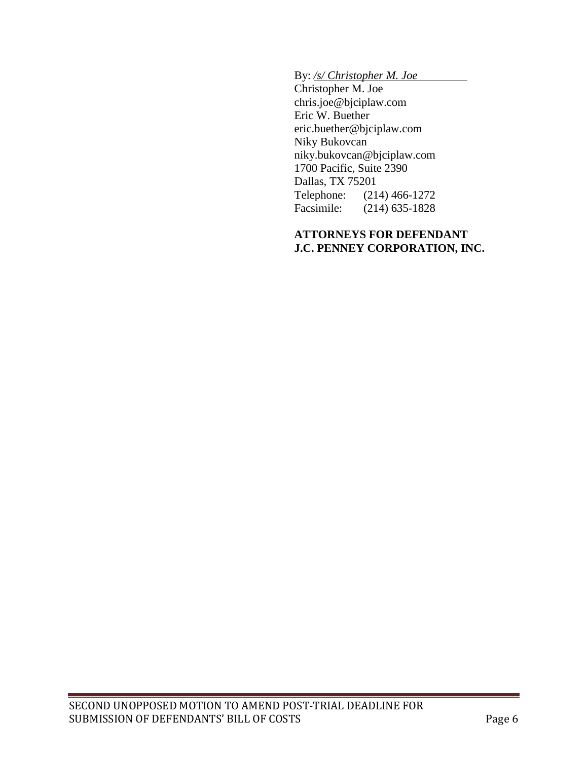By: */s/ Christopher M. Joe*

Christopher M. Joe chris.joe@bjciplaw.com Eric W. Buether eric.buether@bjciplaw.com Niky Bukovcan niky.bukovcan@bjciplaw.com 1700 Pacific, Suite 2390 Dallas, TX 75201<br>Telephone: (21 Telephone: (214) 466-1272<br>Facsimile: (214) 635-1828  $(214)$  635-1828

#### **ATTORNEYS FOR DEFENDANT J.C. PENNEY CORPORATION, INC.**